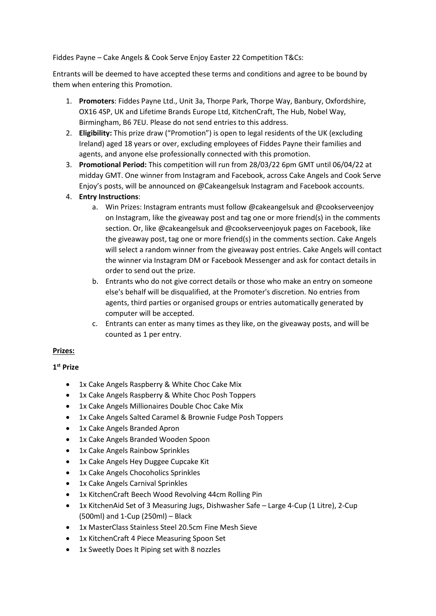Fiddes Payne – Cake Angels & Cook Serve Enjoy Easter 22 Competition T&Cs:

Entrants will be deemed to have accepted these terms and conditions and agree to be bound by them when entering this Promotion.

- 1. **Promoters**: Fiddes Payne Ltd., Unit 3a, Thorpe Park, Thorpe Way, Banbury, Oxfordshire, OX16 4SP, UK and Lifetime Brands Europe Ltd, KitchenCraft, The Hub, Nobel Way, Birmingham, B6 7EU. Please do not send entries to this address.
- 2. **Eligibility:** This prize draw ("Promotion") is open to legal residents of the UK (excluding Ireland) aged 18 years or over, excluding employees of Fiddes Payne their families and agents, and anyone else professionally connected with this promotion.
- 3. **Promotional Period:** This competition will run from 28/03/22 6pm GMT until 06/04/22 at midday GMT. One winner from Instagram and Facebook, across Cake Angels and Cook Serve Enjoy's posts, will be announced on @Cakeangelsuk Instagram and Facebook accounts.
- 4. **Entry Instructions**:
	- a. Win Prizes: Instagram entrants must follow @cakeangelsuk an[d @cookserveenjoy](https://www.instagram.com/CookServeEnjoy/) on Instagram, like the giveaway post and tag one or more friend(s) in the comments section. Or, like @cakeangelsuk and [@cookserveenjoyu](https://www.instagram.com/CookServeEnjoy/)k pages on Facebook, like the giveaway post, tag one or more friend(s) in the comments section. Cake Angels will select a random winner from the giveaway post entries. Cake Angels will contact the winner via Instagram DM or Facebook Messenger and ask for contact details in order to send out the prize.
	- b. Entrants who do not give correct details or those who make an entry on someone else's behalf will be disqualified, at the Promoter's discretion. No entries from agents, third parties or organised groups or entries automatically generated by computer will be accepted.
	- c. Entrants can enter as many times as they like, on the giveaway posts, and will be counted as 1 per entry.

## **Prizes:**

## **1st Prize**

- 1x Cake Angels Raspberry & White Choc Cake Mix
- 1x Cake Angels Raspberry & White Choc Posh Toppers
- 1x Cake Angels Millionaires Double Choc Cake Mix
- 1x Cake Angels Salted Caramel & Brownie Fudge Posh Toppers
- 1x Cake Angels Branded Apron
- 1x Cake Angels Branded Wooden Spoon
- 1x Cake Angels Rainbow Sprinkles
- 1x Cake Angels Hey Duggee Cupcake Kit
- 1x Cake Angels Chocoholics Sprinkles
- 1x Cake Angels Carnival Sprinkles
- 1x KitchenCraft Beech Wood Revolving 44cm Rolling Pin
- 1x KitchenAid Set of 3 Measuring Jugs, Dishwasher Safe Large 4-Cup (1 Litre), 2-Cup (500ml) and 1-Cup (250ml) – Black
- 1x MasterClass Stainless Steel 20.5cm Fine Mesh Sieve
- 1x KitchenCraft 4 Piece Measuring Spoon Set
- 1x Sweetly Does It Piping set with 8 nozzles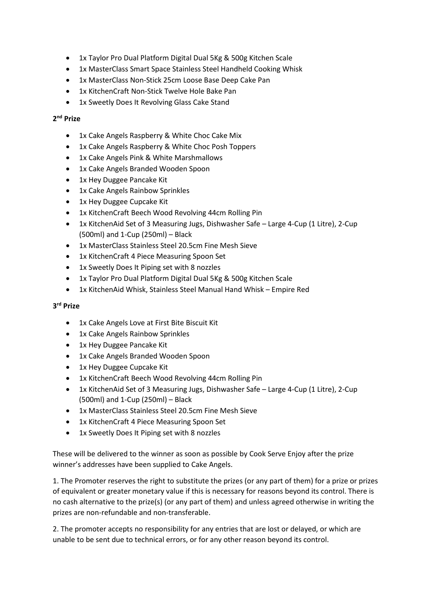- 1x Taylor Pro Dual Platform Digital Dual 5Kg & 500g Kitchen Scale
- 1x MasterClass Smart Space Stainless Steel Handheld Cooking Whisk
- 1x MasterClass Non-Stick 25cm Loose Base Deep Cake Pan
- 1x KitchenCraft Non-Stick Twelve Hole Bake Pan
- 1x Sweetly Does It Revolving Glass Cake Stand

## **2nd Prize**

- 1x Cake Angels Raspberry & White Choc Cake Mix
- 1x Cake Angels Raspberry & White Choc Posh Toppers
- 1x Cake Angels Pink & White Marshmallows
- 1x Cake Angels Branded Wooden Spoon
- 1x Hey Duggee Pancake Kit
- 1x Cake Angels Rainbow Sprinkles
- 1x Hey Duggee Cupcake Kit
- 1x KitchenCraft Beech Wood Revolving 44cm Rolling Pin
- 1x KitchenAid Set of 3 Measuring Jugs, Dishwasher Safe Large 4-Cup (1 Litre), 2-Cup (500ml) and 1-Cup (250ml) – Black
- 1x MasterClass Stainless Steel 20.5cm Fine Mesh Sieve
- 1x KitchenCraft 4 Piece Measuring Spoon Set
- 1x Sweetly Does It Piping set with 8 nozzles
- 1x Taylor Pro Dual Platform Digital Dual 5Kg & 500g Kitchen Scale
- 1x KitchenAid Whisk, Stainless Steel Manual Hand Whisk Empire Red

## **3rd Prize**

- 1x Cake Angels Love at First Bite Biscuit Kit
- 1x Cake Angels Rainbow Sprinkles
- 1x Hey Duggee Pancake Kit
- 1x Cake Angels Branded Wooden Spoon
- 1x Hey Duggee Cupcake Kit
- 1x KitchenCraft Beech Wood Revolving 44cm Rolling Pin
- 1x KitchenAid Set of 3 Measuring Jugs, Dishwasher Safe Large 4-Cup (1 Litre), 2-Cup (500ml) and 1-Cup (250ml) – Black
- 1x MasterClass Stainless Steel 20.5cm Fine Mesh Sieve
- 1x KitchenCraft 4 Piece Measuring Spoon Set
- 1x Sweetly Does It Piping set with 8 nozzles

These will be delivered to the winner as soon as possible by Cook Serve Enjoy after the prize winner's addresses have been supplied to Cake Angels.

1. The Promoter reserves the right to substitute the prizes (or any part of them) for a prize or prizes of equivalent or greater monetary value if this is necessary for reasons beyond its control. There is no cash alternative to the prize(s) (or any part of them) and unless agreed otherwise in writing the prizes are non-refundable and non-transferable.

2. The promoter accepts no responsibility for any entries that are lost or delayed, or which are unable to be sent due to technical errors, or for any other reason beyond its control.